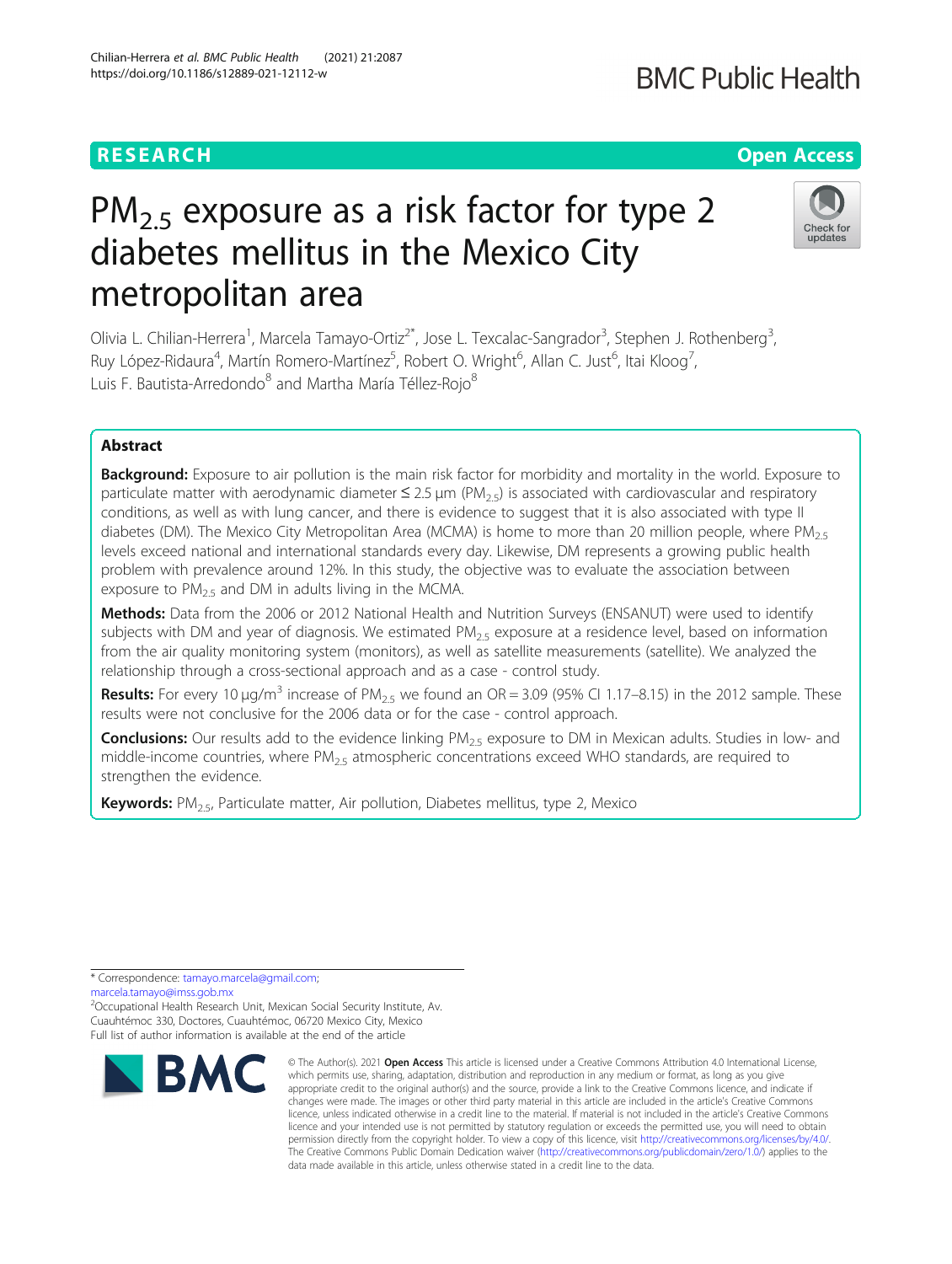# $PM<sub>2.5</sub>$  exposure as a risk factor for type 2 diabetes mellitus in the Mexico City metropolitan area

Olivia L. Chilian-Herrera<sup>1</sup>, Marcela Tamayo-Ortiz<sup>2\*</sup>, Jose L. Texcalac-Sangrador<sup>3</sup>, Stephen J. Rothenberg<sup>3</sup> , Ruy López-Ridaura<sup>4</sup>, Martín Romero-Martínez<sup>5</sup>, Robert O. Wright<sup>6</sup>, Allan C. Just<sup>6</sup>, Itai Kloog<sup>7</sup> , Luis F. Bautista-Arredondo<sup>8</sup> and Martha María Téllez-Rojo<sup>8</sup>

# Abstract

**Background:** Exposure to air pollution is the main risk factor for morbidity and mortality in the world. Exposure to particulate matter with aerodynamic diameter  $\leq 2.5 \,\mu m$  (PM<sub>2.5</sub>) is associated with cardiovascular and respiratory conditions, as well as with lung cancer, and there is evidence to suggest that it is also associated with type II diabetes (DM). The Mexico City Metropolitan Area (MCMA) is home to more than 20 million people, where PM<sub>2.5</sub> levels exceed national and international standards every day. Likewise, DM represents a growing public health problem with prevalence around 12%. In this study, the objective was to evaluate the association between exposure to  $PM_{2.5}$  and DM in adults living in the MCMA.

Methods: Data from the 2006 or 2012 National Health and Nutrition Surveys (ENSANUT) were used to identify subjects with DM and year of diagnosis. We estimated  $PM<sub>2.5</sub>$  exposure at a residence level, based on information from the air quality monitoring system (monitors), as well as satellite measurements (satellite). We analyzed the relationship through a cross-sectional approach and as a case - control study.

Results: For every 10  $\mu$ g/m<sup>3</sup> increase of PM<sub>2.5</sub> we found an OR = 3.09 (95% CI 1.17–8.15) in the 2012 sample. These results were not conclusive for the 2006 data or for the case - control approach.

**Conclusions:** Our results add to the evidence linking PM<sub>2.5</sub> exposure to DM in Mexican adults. Studies in low- and middle-income countries, where  $PM_{2.5}$  atmospheric concentrations exceed WHO standards, are required to strengthen the evidence.

**Keywords:**  $PM_{2.5}$ , Particulate matter, Air pollution, Diabetes mellitus, type 2, Mexico

\* Correspondence: [tamayo.marcela@gmail.com](mailto:tamayo.marcela@gmail.com);

[marcela.tamayo@imss.gob.mx](mailto:marcela.tamayo@imss.gob.mx)

<sup>2</sup>Occupational Health Research Unit, Mexican Social Security Institute, Av. Cuauhtémoc 330, Doctores, Cuauhtémoc, 06720 Mexico City, Mexico Full list of author information is available at the end of the article



<sup>©</sup> The Author(s), 2021 **Open Access** This article is licensed under a Creative Commons Attribution 4.0 International License, which permits use, sharing, adaptation, distribution and reproduction in any medium or format, as long as you give appropriate credit to the original author(s) and the source, provide a link to the Creative Commons licence, and indicate if changes were made. The images or other third party material in this article are included in the article's Creative Commons licence, unless indicated otherwise in a credit line to the material. If material is not included in the article's Creative Commons licence and your intended use is not permitted by statutory regulation or exceeds the permitted use, you will need to obtain permission directly from the copyright holder. To view a copy of this licence, visit [http://creativecommons.org/licenses/by/4.0/.](http://creativecommons.org/licenses/by/4.0/) The Creative Commons Public Domain Dedication waiver [\(http://creativecommons.org/publicdomain/zero/1.0/](http://creativecommons.org/publicdomain/zero/1.0/)) applies to the data made available in this article, unless otherwise stated in a credit line to the data.



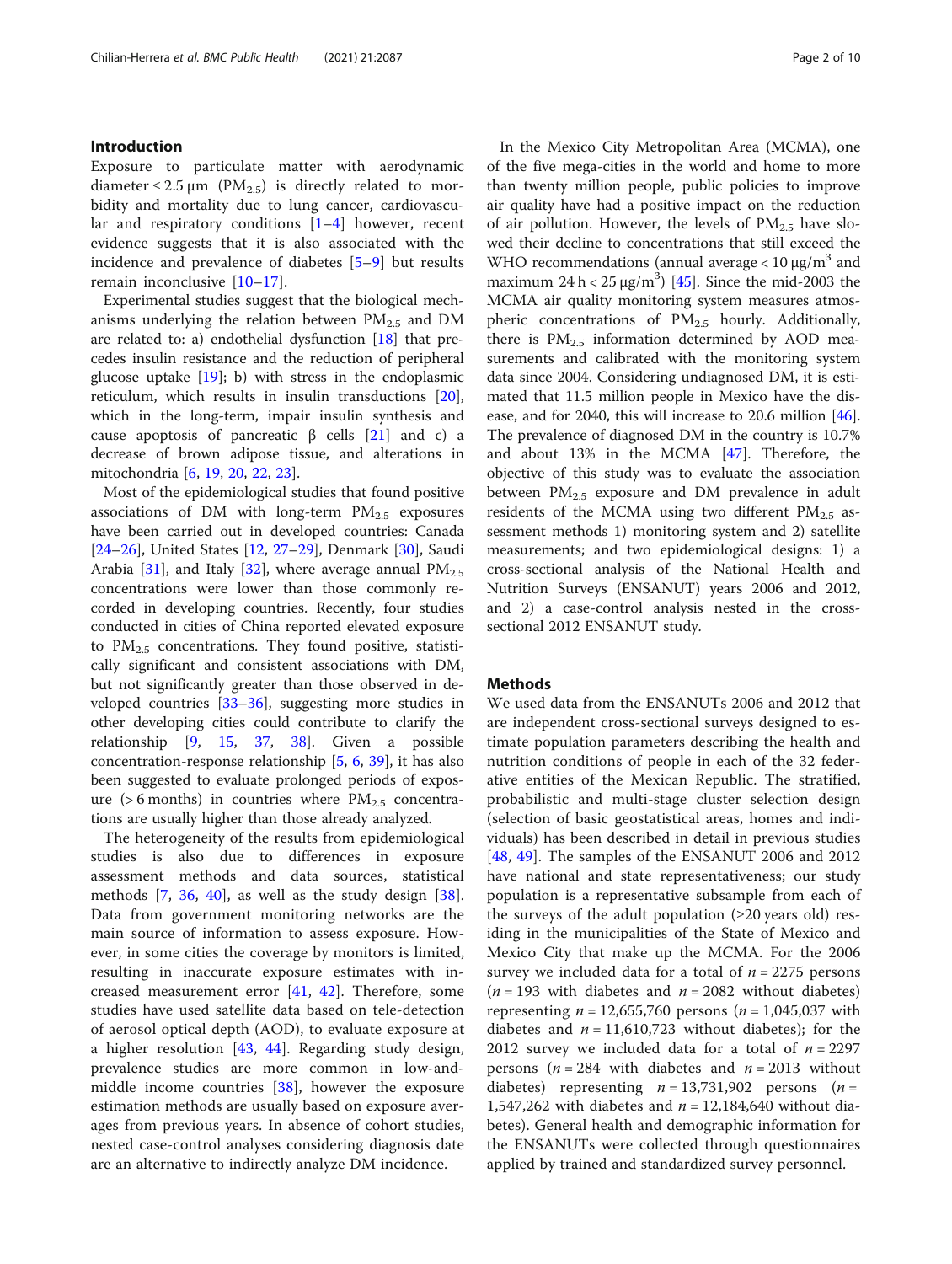# Introduction

Exposure to particulate matter with aerodynamic diameter  $\leq 2.5 \mu m$  (PM<sub>2.5</sub>) is directly related to morbidity and mortality due to lung cancer, cardiovascular and respiratory conditions [[1](#page-7-0)–[4](#page-7-0)] however, recent evidence suggests that it is also associated with the incidence and prevalence of diabetes [[5](#page-7-0)–[9\]](#page-7-0) but results remain inconclusive [\[10](#page-7-0)–[17\]](#page-8-0).

Experimental studies suggest that the biological mechanisms underlying the relation between  $PM_{2.5}$  and DM are related to: a) endothelial dysfunction [\[18\]](#page-8-0) that precedes insulin resistance and the reduction of peripheral glucose uptake [[19\]](#page-8-0); b) with stress in the endoplasmic reticulum, which results in insulin transductions [\[20](#page-8-0)], which in the long-term, impair insulin synthesis and cause apoptosis of pancreatic β cells [\[21](#page-8-0)] and c) a decrease of brown adipose tissue, and alterations in mitochondria [[6,](#page-7-0) [19,](#page-8-0) [20,](#page-8-0) [22,](#page-8-0) [23](#page-8-0)].

Most of the epidemiological studies that found positive associations of DM with long-term  $PM_{2.5}$  exposures have been carried out in developed countries: Canada [[24](#page-8-0)–[26](#page-8-0)], United States [[12](#page-7-0), [27](#page-8-0)–[29](#page-8-0)], Denmark [[30](#page-8-0)], Saudi Arabia [[31\]](#page-8-0), and Italy [[32](#page-8-0)], where average annual  $PM_{2.5}$ concentrations were lower than those commonly recorded in developing countries. Recently, four studies conducted in cities of China reported elevated exposure to  $PM_{2.5}$  concentrations. They found positive, statistically significant and consistent associations with DM, but not significantly greater than those observed in developed countries [\[33](#page-8-0)–[36\]](#page-8-0), suggesting more studies in other developing cities could contribute to clarify the relationship [[9,](#page-7-0) [15](#page-8-0), [37](#page-8-0), [38\]](#page-8-0). Given a possible concentration-response relationship [\[5](#page-7-0), [6,](#page-7-0) [39\]](#page-8-0), it has also been suggested to evaluate prolonged periods of exposure ( $> 6$  months) in countries where  $PM_{2.5}$  concentrations are usually higher than those already analyzed.

The heterogeneity of the results from epidemiological studies is also due to differences in exposure assessment methods and data sources, statistical methods [\[7](#page-7-0), [36](#page-8-0), [40\]](#page-8-0), as well as the study design [\[38](#page-8-0)]. Data from government monitoring networks are the main source of information to assess exposure. However, in some cities the coverage by monitors is limited, resulting in inaccurate exposure estimates with increased measurement error [[41,](#page-8-0) [42](#page-8-0)]. Therefore, some studies have used satellite data based on tele-detection of aerosol optical depth (AOD), to evaluate exposure at a higher resolution [[43,](#page-8-0) [44](#page-8-0)]. Regarding study design, prevalence studies are more common in low-andmiddle income countries [[38\]](#page-8-0), however the exposure estimation methods are usually based on exposure averages from previous years. In absence of cohort studies, nested case-control analyses considering diagnosis date are an alternative to indirectly analyze DM incidence.

In the Mexico City Metropolitan Area (MCMA), one of the five mega-cities in the world and home to more than twenty million people, public policies to improve air quality have had a positive impact on the reduction of air pollution. However, the levels of  $PM_{2.5}$  have slowed their decline to concentrations that still exceed the WHO recommendations (annual average  $< 10 \mu g/m^3$  and maximum  $24 h < 25 \mu g/m^3$  [\[45\]](#page-8-0). Since the mid-2003 the MCMA air quality monitoring system measures atmospheric concentrations of PM<sub>2.5</sub> hourly. Additionally, there is  $PM_{2.5}$  information determined by AOD measurements and calibrated with the monitoring system data since 2004. Considering undiagnosed DM, it is estimated that 11.5 million people in Mexico have the disease, and for 2040, this will increase to 20.6 million [\[46](#page-8-0)]. The prevalence of diagnosed DM in the country is 10.7% and about 13% in the MCMA [[47\]](#page-8-0). Therefore, the objective of this study was to evaluate the association between  $PM_{2.5}$  exposure and DM prevalence in adult residents of the MCMA using two different  $PM_{2.5}$  assessment methods 1) monitoring system and 2) satellite measurements; and two epidemiological designs: 1) a cross-sectional analysis of the National Health and Nutrition Surveys (ENSANUT) years 2006 and 2012, and 2) a case-control analysis nested in the crosssectional 2012 ENSANUT study.

# **Methods**

We used data from the ENSANUTs 2006 and 2012 that are independent cross-sectional surveys designed to estimate population parameters describing the health and nutrition conditions of people in each of the 32 federative entities of the Mexican Republic. The stratified, probabilistic and multi-stage cluster selection design (selection of basic geostatistical areas, homes and individuals) has been described in detail in previous studies [[48,](#page-8-0) [49\]](#page-8-0). The samples of the ENSANUT 2006 and 2012 have national and state representativeness; our study population is a representative subsample from each of the surveys of the adult population  $(\geq 20)$  years old) residing in the municipalities of the State of Mexico and Mexico City that make up the MCMA. For the 2006 survey we included data for a total of  $n = 2275$  persons  $(n = 193$  with diabetes and  $n = 2082$  without diabetes) representing  $n = 12,655,760$  persons  $(n = 1,045,037)$  with diabetes and  $n = 11,610,723$  without diabetes); for the 2012 survey we included data for a total of  $n = 2297$ persons ( $n = 284$  with diabetes and  $n = 2013$  without diabetes) representing  $n = 13,731,902$  persons  $(n =$ 1,547,262 with diabetes and  $n = 12,184,640$  without diabetes). General health and demographic information for the ENSANUTs were collected through questionnaires applied by trained and standardized survey personnel.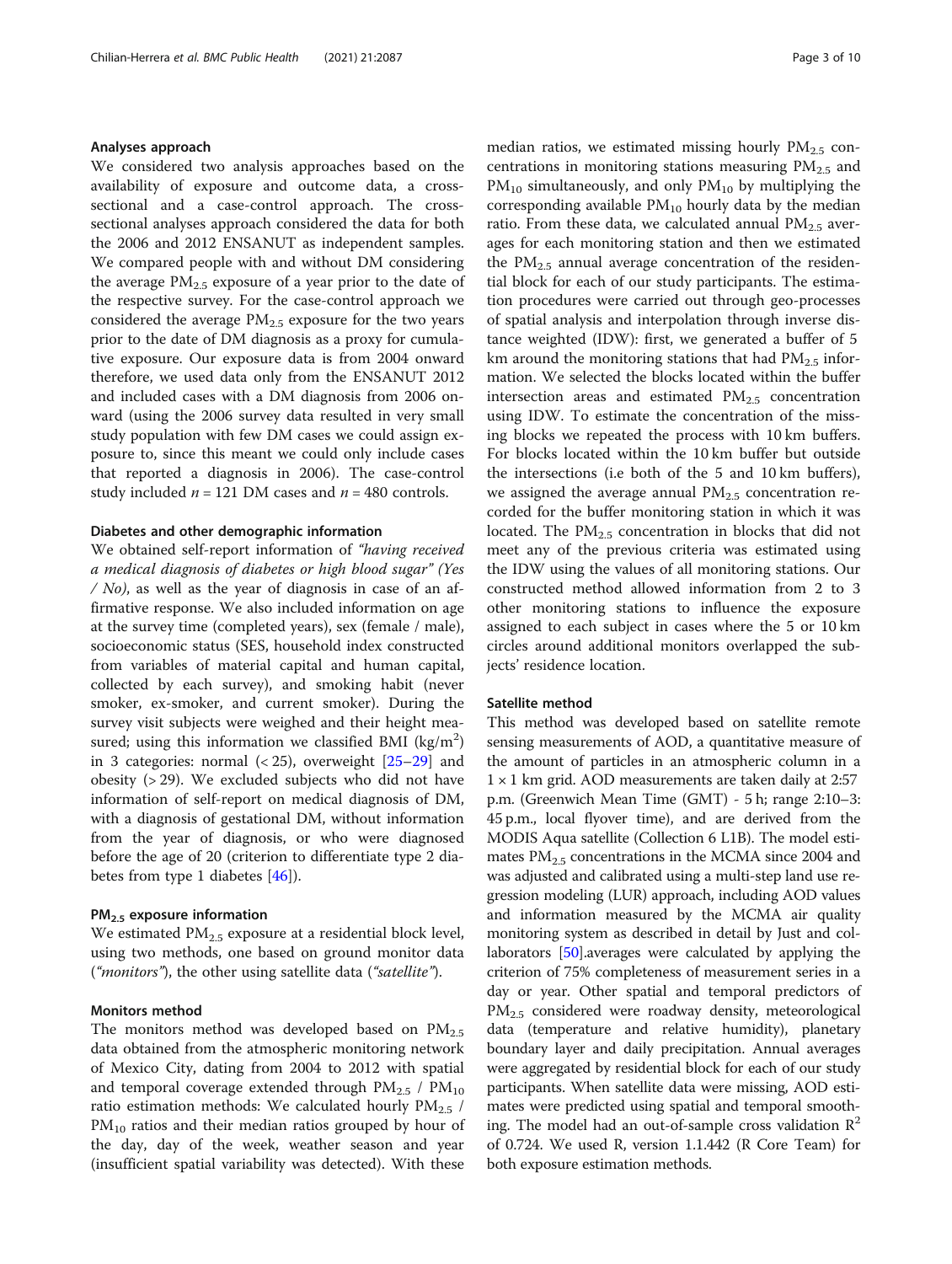#### Analyses approach

We considered two analysis approaches based on the availability of exposure and outcome data, a crosssectional and a case-control approach. The crosssectional analyses approach considered the data for both the 2006 and 2012 ENSANUT as independent samples. We compared people with and without DM considering the average  $PM_{2.5}$  exposure of a year prior to the date of the respective survey. For the case-control approach we considered the average  $PM_{2.5}$  exposure for the two years prior to the date of DM diagnosis as a proxy for cumulative exposure. Our exposure data is from 2004 onward therefore, we used data only from the ENSANUT 2012 and included cases with a DM diagnosis from 2006 onward (using the 2006 survey data resulted in very small study population with few DM cases we could assign exposure to, since this meant we could only include cases that reported a diagnosis in 2006). The case-control study included  $n = 121$  DM cases and  $n = 480$  controls.

# Diabetes and other demographic information

We obtained self-report information of "having received a medical diagnosis of diabetes or high blood sugar" (Yes /  $No$ ), as well as the year of diagnosis in case of an affirmative response. We also included information on age at the survey time (completed years), sex (female / male), socioeconomic status (SES, household index constructed from variables of material capital and human capital, collected by each survey), and smoking habit (never smoker, ex-smoker, and current smoker). During the survey visit subjects were weighed and their height measured; using this information we classified BMI (kg/m<sup>2</sup>) in 3 categories: normal  $(< 25)$ , overweight  $[25–29]$  $[25–29]$  $[25–29]$  and obesity (> 29). We excluded subjects who did not have information of self-report on medical diagnosis of DM, with a diagnosis of gestational DM, without information from the year of diagnosis, or who were diagnosed before the age of 20 (criterion to differentiate type 2 diabetes from type 1 diabetes [\[46](#page-8-0)]).

# PM2.5 exposure information

We estimated  $PM_{2.5}$  exposure at a residential block level, using two methods, one based on ground monitor data ("*monitors*"), the other using satellite data ("*satellite*").

# Monitors method

The monitors method was developed based on  $PM_{2.5}$ data obtained from the atmospheric monitoring network of Mexico City, dating from 2004 to 2012 with spatial and temporal coverage extended through  $PM_{2.5}$  /  $PM_{10}$ ratio estimation methods: We calculated hourly  $PM_{2.5}$  /  $PM_{10}$  ratios and their median ratios grouped by hour of the day, day of the week, weather season and year (insufficient spatial variability was detected). With these median ratios, we estimated missing hourly  $PM_{2.5}$  concentrations in monitoring stations measuring  $PM_{2.5}$  and  $PM_{10}$  simultaneously, and only  $PM_{10}$  by multiplying the corresponding available  $PM_{10}$  hourly data by the median ratio. From these data, we calculated annual  $PM_{2.5}$  averages for each monitoring station and then we estimated the  $PM_{2.5}$  annual average concentration of the residential block for each of our study participants. The estimation procedures were carried out through geo-processes of spatial analysis and interpolation through inverse distance weighted (IDW): first, we generated a buffer of 5 km around the monitoring stations that had  $PM_{2.5}$  information. We selected the blocks located within the buffer intersection areas and estimated  $PM_{2.5}$  concentration using IDW. To estimate the concentration of the missing blocks we repeated the process with 10 km buffers. For blocks located within the 10 km buffer but outside the intersections (i.e both of the 5 and 10 km buffers), we assigned the average annual  $PM_{2.5}$  concentration recorded for the buffer monitoring station in which it was located. The  $PM<sub>2.5</sub>$  concentration in blocks that did not meet any of the previous criteria was estimated using the IDW using the values of all monitoring stations. Our constructed method allowed information from 2 to 3 other monitoring stations to influence the exposure assigned to each subject in cases where the 5 or 10 km circles around additional monitors overlapped the subjects' residence location.

#### Satellite method

This method was developed based on satellite remote sensing measurements of AOD, a quantitative measure of the amount of particles in an atmospheric column in a  $1 \times 1$  km grid. AOD measurements are taken daily at 2:57 p.m. (Greenwich Mean Time (GMT) - 5 h; range 2:10–3: 45 p.m., local flyover time), and are derived from the MODIS Aqua satellite (Collection 6 L1B). The model estimates  $PM<sub>2.5</sub>$  concentrations in the MCMA since 2004 and was adjusted and calibrated using a multi-step land use regression modeling (LUR) approach, including AOD values and information measured by the MCMA air quality monitoring system as described in detail by Just and collaborators [[50](#page-8-0)].averages were calculated by applying the criterion of 75% completeness of measurement series in a day or year. Other spatial and temporal predictors of PM<sub>2.5</sub> considered were roadway density, meteorological data (temperature and relative humidity), planetary boundary layer and daily precipitation. Annual averages were aggregated by residential block for each of our study participants. When satellite data were missing, AOD estimates were predicted using spatial and temporal smoothing. The model had an out-of-sample cross validation  $\mathbb{R}^2$ of 0.724. We used R, version 1.1.442 (R Core Team) for both exposure estimation methods.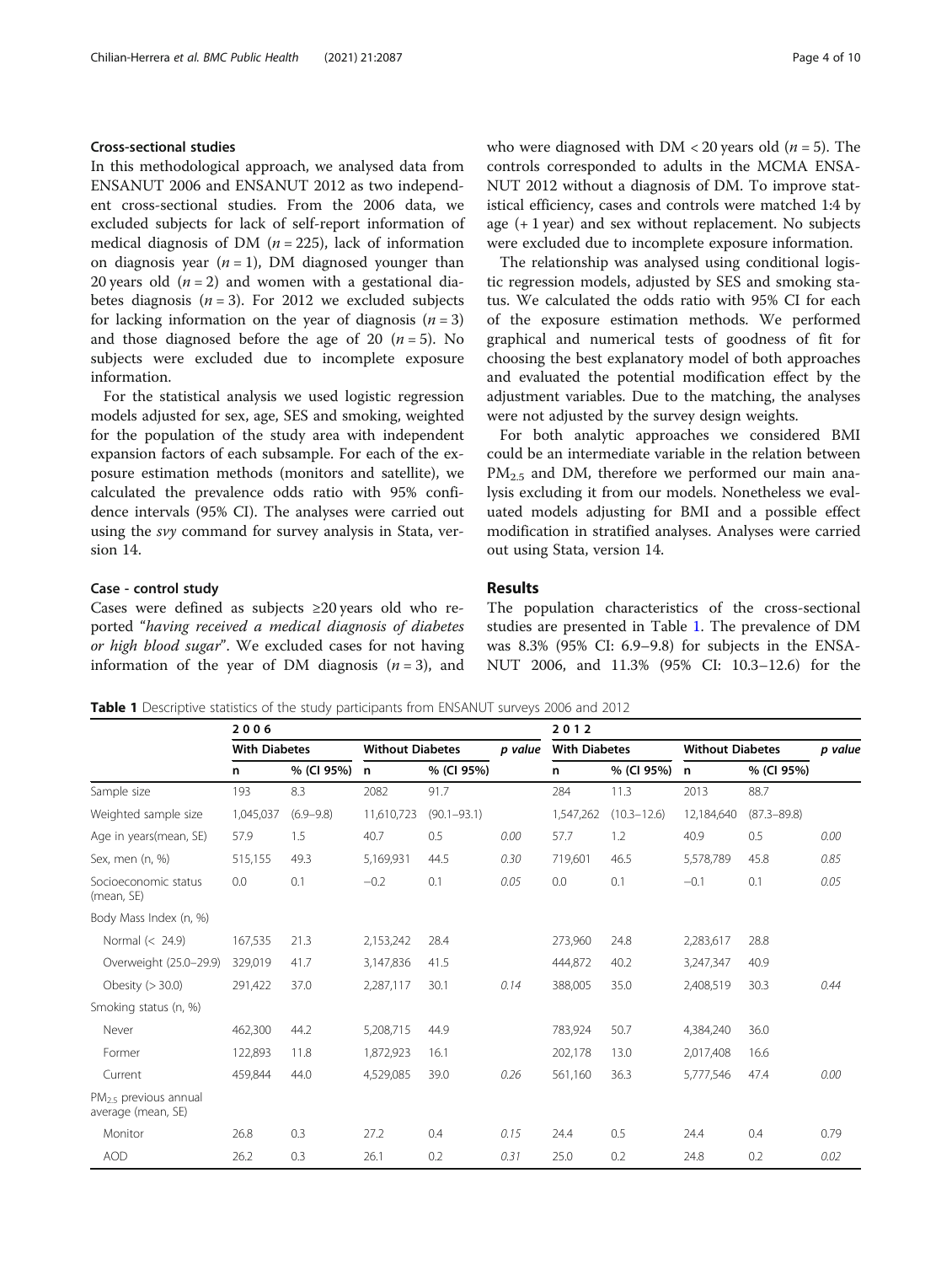# <span id="page-3-0"></span>Cross-sectional studies

In this methodological approach, we analysed data from ENSANUT 2006 and ENSANUT 2012 as two independent cross-sectional studies. From the 2006 data, we excluded subjects for lack of self-report information of medical diagnosis of DM ( $n = 225$ ), lack of information on diagnosis year  $(n = 1)$ , DM diagnosed younger than 20 years old  $(n = 2)$  and women with a gestational diabetes diagnosis ( $n = 3$ ). For 2012 we excluded subjects for lacking information on the year of diagnosis  $(n = 3)$ and those diagnosed before the age of 20  $(n = 5)$ . No subjects were excluded due to incomplete exposure information.

For the statistical analysis we used logistic regression models adjusted for sex, age, SES and smoking, weighted for the population of the study area with independent expansion factors of each subsample. For each of the exposure estimation methods (monitors and satellite), we calculated the prevalence odds ratio with 95% confidence intervals (95% CI). The analyses were carried out using the svy command for survey analysis in Stata, version 14.

# Case - control study

Cases were defined as subjects ≥20 years old who reported "having received a medical diagnosis of diabetes or high blood sugar". We excluded cases for not having information of the year of DM diagnosis  $(n = 3)$ , and who were diagnosed with  $DM < 20$  years old ( $n = 5$ ). The controls corresponded to adults in the MCMA ENSA-NUT 2012 without a diagnosis of DM. To improve statistical efficiency, cases and controls were matched 1:4 by age (+ 1 year) and sex without replacement. No subjects were excluded due to incomplete exposure information.

The relationship was analysed using conditional logistic regression models, adjusted by SES and smoking status. We calculated the odds ratio with 95% CI for each of the exposure estimation methods. We performed graphical and numerical tests of goodness of fit for choosing the best explanatory model of both approaches and evaluated the potential modification effect by the adjustment variables. Due to the matching, the analyses were not adjusted by the survey design weights.

For both analytic approaches we considered BMI could be an intermediate variable in the relation between  $PM_{2.5}$  and DM, therefore we performed our main analysis excluding it from our models. Nonetheless we evaluated models adjusting for BMI and a possible effect modification in stratified analyses. Analyses were carried out using Stata, version 14.

# Results

The population characteristics of the cross-sectional studies are presented in Table 1. The prevalence of DM was 8.3% (95% CI: 6.9–9.8) for subjects in the ENSA-NUT 2006, and 11.3% (95% CI: 10.3–12.6) for the

Table 1 Descriptive statistics of the study participants from ENSANUT surveys 2006 and 2012

|                                              | 2006      |                      |            |                         | 2012 |                      |                 |                         |                 |         |
|----------------------------------------------|-----------|----------------------|------------|-------------------------|------|----------------------|-----------------|-------------------------|-----------------|---------|
|                                              |           | <b>With Diabetes</b> |            | <b>Without Diabetes</b> |      | <b>With Diabetes</b> |                 | <b>Without Diabetes</b> |                 | p value |
|                                              | n         | % (CI 95%)           | n          | % (CI 95%)              |      | n                    | % (CI 95%)      | n                       | % (CI 95%)      |         |
| Sample size                                  | 193       | 8.3                  | 2082       | 91.7                    |      | 284                  | 11.3            | 2013                    | 88.7            |         |
| Weighted sample size                         | 1,045,037 | $(6.9 - 9.8)$        | 11,610,723 | $(90.1 - 93.1)$         |      | 1,547,262            | $(10.3 - 12.6)$ | 12,184,640              | $(87.3 - 89.8)$ |         |
| Age in years(mean, SE)                       | 57.9      | 1.5                  | 40.7       | 0.5                     | 0.00 | 57.7                 | 1.2             | 40.9                    | 0.5             | 0.00    |
| Sex, men (n, %)                              | 515,155   | 49.3                 | 5,169,931  | 44.5                    | 0.30 | 719,601              | 46.5            | 5,578,789               | 45.8            | 0.85    |
| Socioeconomic status<br>(mean, SE)           | 0.0       | 0.1                  | $-0.2$     | 0.1                     | 0.05 | 0.0                  | 0.1             | $-0.1$                  | 0.1             | 0.05    |
| Body Mass Index (n, %)                       |           |                      |            |                         |      |                      |                 |                         |                 |         |
| Normal (< 24.9)                              | 167,535   | 21.3                 | 2,153,242  | 28.4                    |      | 273,960              | 24.8            | 2,283,617               | 28.8            |         |
| Overweight (25.0-29.9)                       | 329,019   | 41.7                 | 3,147,836  | 41.5                    |      | 444,872              | 40.2            | 3,247,347               | 40.9            |         |
| Obesity $(>30.0)$                            | 291,422   | 37.0                 | 2,287,117  | 30.1                    | 0.14 | 388,005              | 35.0            | 2,408,519               | 30.3            | 0.44    |
| Smoking status (n, %)                        |           |                      |            |                         |      |                      |                 |                         |                 |         |
| Never                                        | 462,300   | 44.2                 | 5,208,715  | 44.9                    |      | 783,924              | 50.7            | 4,384,240               | 36.0            |         |
| Former                                       | 122,893   | 11.8                 | 1,872,923  | 16.1                    |      | 202,178              | 13.0            | 2,017,408               | 16.6            |         |
| Current                                      | 459,844   | 44.0                 | 4,529,085  | 39.0                    | 0.26 | 561,160              | 36.3            | 5,777,546               | 47.4            | 0.00    |
| $PM25$ previous annual<br>average (mean, SE) |           |                      |            |                         |      |                      |                 |                         |                 |         |
| Monitor                                      | 26.8      | 0.3                  | 27.2       | 0.4                     | 0.15 | 24.4                 | 0.5             | 24.4                    | 0.4             | 0.79    |
| <b>AOD</b>                                   | 26.2      | 0.3                  | 26.1       | 0.2                     | 0.31 | 25.0                 | 0.2             | 24.8                    | 0.2             | 0.02    |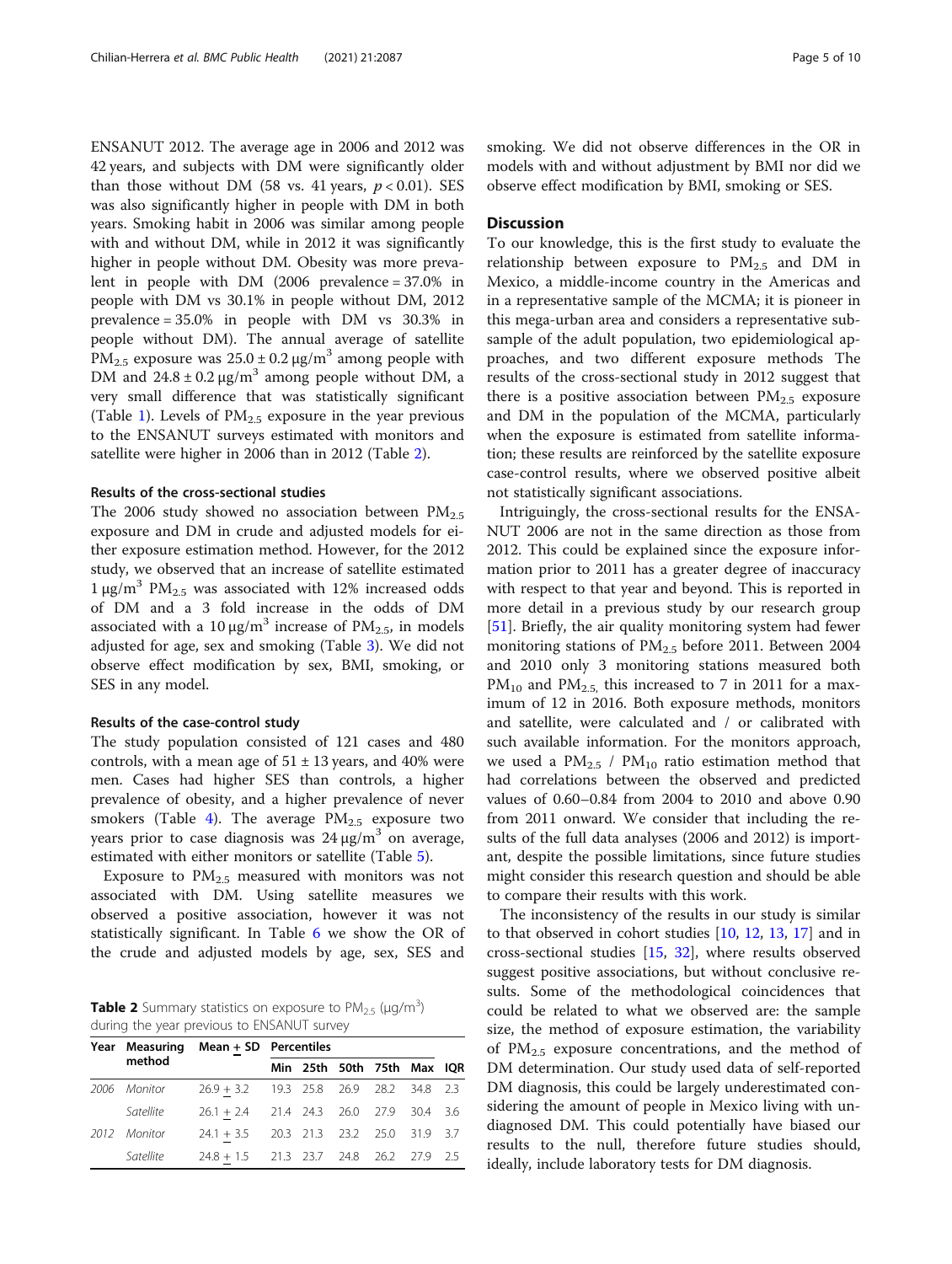ENSANUT 2012. The average age in 2006 and 2012 was 42 years, and subjects with DM were significantly older than those without DM (58 vs. 41 years,  $p < 0.01$ ). SES was also significantly higher in people with DM in both years. Smoking habit in 2006 was similar among people with and without DM, while in 2012 it was significantly higher in people without DM. Obesity was more prevalent in people with DM (2006 prevalence = 37.0% in people with DM vs 30.1% in people without DM, 2012 prevalence = 35.0% in people with DM vs 30.3% in people without DM). The annual average of satellite PM<sub>2.5</sub> exposure was  $25.0 \pm 0.2 \,\mu g/m^3$  among people with DM and  $24.8 \pm 0.2 \,\mu\text{g/m}^3$  among people without DM, a very small difference that was statistically significant (Table [1](#page-3-0)). Levels of  $PM_{2.5}$  exposure in the year previous to the ENSANUT surveys estimated with monitors and satellite were higher in 2006 than in 2012 (Table 2).

#### Results of the cross-sectional studies

The 2006 study showed no association between  $PM_{2.5}$ exposure and DM in crude and adjusted models for either exposure estimation method. However, for the 2012 study, we observed that an increase of satellite estimated  $1 \mu g/m^3$  PM<sub>2.5</sub> was associated with 12% increased odds of DM and a 3 fold increase in the odds of DM associated with a 10  $\mu$ g/m<sup>3</sup> increase of PM<sub>2.5</sub>, in models adjusted for age, sex and smoking (Table [3](#page-5-0)). We did not observe effect modification by sex, BMI, smoking, or SES in any model.

#### Results of the case-control study

The study population consisted of 121 cases and 480 controls, with a mean age of  $51 \pm 13$  years, and 40% were men. Cases had higher SES than controls, a higher prevalence of obesity, and a higher prevalence of never smokers (Table [4](#page-5-0)). The average  $PM_{2.5}$  exposure two years prior to case diagnosis was  $24 \mu g/m^3$  on average, estimated with either monitors or satellite (Table [5\)](#page-6-0).

Exposure to  $PM_{2.5}$  measured with monitors was not associated with DM. Using satellite measures we observed a positive association, however it was not statistically significant. In Table [6](#page-6-0) we show the OR of the crude and adjusted models by age, sex, SES and

**Table 2** Summary statistics on exposure to  $PM_{2.5}$  ( $\mu$ g/m<sup>3</sup>) during the year previous to ENSANUT survey

|              | Year Measuring Mean + SD Percentiles      |  |                            |  |  |  |      |
|--------------|-------------------------------------------|--|----------------------------|--|--|--|------|
| method       |                                           |  | Min 25th 50th 75th Max IOR |  |  |  |      |
| 2006 Monitor | $26.9 + 3.2$ 19.3 25.8 26.9 28.2 34.8 2.3 |  |                            |  |  |  |      |
| Satellite    | $26.1 + 2.4$ 21.4 24.3 26.0 27.9 30.4     |  |                            |  |  |  | -3.6 |
| 2012 Monitor | 24.1 + 3.5 20.3 21.3 23.2 25.0 31.9 3.7   |  |                            |  |  |  |      |
| Satellite    | $24.8 + 1.5$ 21.3 23.7 24.8 26.2 27.9 2.5 |  |                            |  |  |  |      |

smoking. We did not observe differences in the OR in models with and without adjustment by BMI nor did we observe effect modification by BMI, smoking or SES.

# **Discussion**

To our knowledge, this is the first study to evaluate the relationship between exposure to  $PM_{2.5}$  and DM in Mexico, a middle-income country in the Americas and in a representative sample of the MCMA; it is pioneer in this mega-urban area and considers a representative subsample of the adult population, two epidemiological approaches, and two different exposure methods The results of the cross-sectional study in 2012 suggest that there is a positive association between  $PM_{2.5}$  exposure and DM in the population of the MCMA, particularly when the exposure is estimated from satellite information; these results are reinforced by the satellite exposure case-control results, where we observed positive albeit not statistically significant associations.

Intriguingly, the cross-sectional results for the ENSA-NUT 2006 are not in the same direction as those from 2012. This could be explained since the exposure information prior to 2011 has a greater degree of inaccuracy with respect to that year and beyond. This is reported in more detail in a previous study by our research group [[51\]](#page-8-0). Briefly, the air quality monitoring system had fewer monitoring stations of  $PM<sub>2.5</sub>$  before 2011. Between 2004 and 2010 only 3 monitoring stations measured both  $PM_{10}$  and  $PM_{2.5}$ , this increased to 7 in 2011 for a maximum of 12 in 2016. Both exposure methods, monitors and satellite, were calculated and / or calibrated with such available information. For the monitors approach, we used a  $PM_{2.5}$  /  $PM_{10}$  ratio estimation method that had correlations between the observed and predicted values of 0.60–0.84 from 2004 to 2010 and above 0.90 from 2011 onward. We consider that including the results of the full data analyses (2006 and 2012) is important, despite the possible limitations, since future studies might consider this research question and should be able to compare their results with this work.

The inconsistency of the results in our study is similar to that observed in cohort studies [[10](#page-7-0), [12,](#page-7-0) [13,](#page-7-0) [17\]](#page-8-0) and in cross-sectional studies [\[15](#page-8-0), [32\]](#page-8-0), where results observed suggest positive associations, but without conclusive results. Some of the methodological coincidences that could be related to what we observed are: the sample size, the method of exposure estimation, the variability of PM2.5 exposure concentrations, and the method of DM determination. Our study used data of self-reported DM diagnosis, this could be largely underestimated considering the amount of people in Mexico living with undiagnosed DM. This could potentially have biased our results to the null, therefore future studies should, ideally, include laboratory tests for DM diagnosis.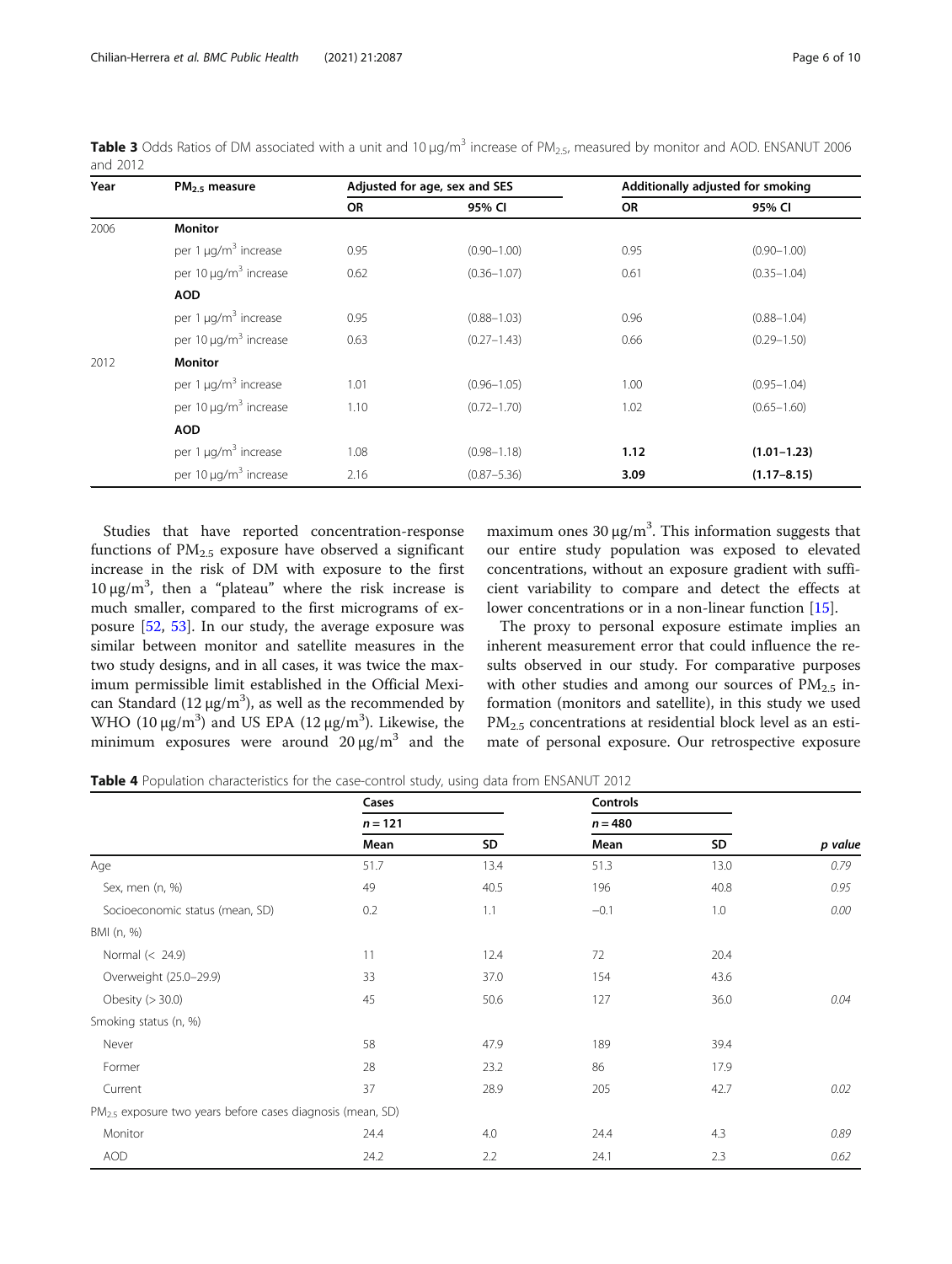<span id="page-5-0"></span>**Table 3** Odds Ratios of DM associated with a unit and 10  $\mu$ g/m<sup>3</sup> increase of PM<sub>2.5</sub>, measured by monitor and AOD. ENSANUT 2006 and 2012

| Year | $PM_{2.5}$ measure                    |      | Adjusted for age, sex and SES | Additionally adjusted for smoking |                 |  |
|------|---------------------------------------|------|-------------------------------|-----------------------------------|-----------------|--|
|      |                                       | OR   | 95% CI                        | OR                                | 95% CI          |  |
| 2006 | <b>Monitor</b>                        |      |                               |                                   |                 |  |
|      | per 1 $\mu$ g/m <sup>3</sup> increase | 0.95 | $(0.90 - 1.00)$               | 0.95                              | $(0.90 - 1.00)$ |  |
|      | per 10 µg/m <sup>3</sup> increase     | 0.62 | $(0.36 - 1.07)$               | 0.61                              | $(0.35 - 1.04)$ |  |
|      | <b>AOD</b>                            |      |                               |                                   |                 |  |
|      | per 1 $\mu$ g/m <sup>3</sup> increase | 0.95 | $(0.88 - 1.03)$               | 0.96                              | $(0.88 - 1.04)$ |  |
|      | per 10 µg/m <sup>3</sup> increase     | 0.63 | $(0.27 - 1.43)$               | 0.66                              | $(0.29 - 1.50)$ |  |
| 2012 | <b>Monitor</b>                        |      |                               |                                   |                 |  |
|      | per 1 $\mu$ g/m <sup>3</sup> increase | 1.01 | $(0.96 - 1.05)$               | 1.00                              | $(0.95 - 1.04)$ |  |
|      | per 10 µg/m <sup>3</sup> increase     | 1.10 | $(0.72 - 1.70)$               | 1.02                              | $(0.65 - 1.60)$ |  |
|      | <b>AOD</b>                            |      |                               |                                   |                 |  |
|      | per 1 $\mu$ g/m <sup>3</sup> increase | 1.08 | $(0.98 - 1.18)$               | 1.12                              | $(1.01 - 1.23)$ |  |
|      | per 10 µg/m <sup>3</sup> increase     | 2.16 | $(0.87 - 5.36)$               | 3.09                              | $(1.17 - 8.15)$ |  |

Studies that have reported concentration-response functions of  $PM<sub>2.5</sub>$  exposure have observed a significant increase in the risk of DM with exposure to the first 10 μg/m<sup>3</sup>, then a "plateau" where the risk increase is much smaller, compared to the first micrograms of exposure [\[52,](#page-8-0) [53\]](#page-9-0). In our study, the average exposure was similar between monitor and satellite measures in the two study designs, and in all cases, it was twice the maximum permissible limit established in the Official Mexican Standard ( $12 \mu g/m^3$ ), as well as the recommended by WHO  $(10 \mu g/m^3)$  and US EPA  $(12 \mu g/m^3)$ . Likewise, the minimum exposures were around  $20 \mu g/m^3$  and the

maximum ones  $30 \mu g/m^3$ . This information suggests that our entire study population was exposed to elevated concentrations, without an exposure gradient with sufficient variability to compare and detect the effects at lower concentrations or in a non-linear function [\[15](#page-8-0)].

The proxy to personal exposure estimate implies an inherent measurement error that could influence the results observed in our study. For comparative purposes with other studies and among our sources of  $PM_{2.5}$  information (monitors and satellite), in this study we used PM<sub>2.5</sub> concentrations at residential block level as an estimate of personal exposure. Our retrospective exposure

Table 4 Population characteristics for the case-control study, using data from ENSANUT 2012

|                                                                        | Cases<br>$n = 121$ |      | Controls  |      |         |  |
|------------------------------------------------------------------------|--------------------|------|-----------|------|---------|--|
|                                                                        |                    |      | $n = 480$ |      |         |  |
|                                                                        | Mean               | SD   | Mean      | SD   | p value |  |
| Age                                                                    | 51.7               | 13.4 | 51.3      | 13.0 | 0.79    |  |
| Sex, men (n, %)                                                        | 49                 | 40.5 | 196       | 40.8 | 0.95    |  |
| Socioeconomic status (mean, SD)                                        | 0.2                | 1.1  | $-0.1$    | 1.0  | 0.00    |  |
| BMI (n, %)                                                             |                    |      |           |      |         |  |
| Normal (< 24.9)                                                        | 11                 | 12.4 | 72        | 20.4 |         |  |
| Overweight (25.0-29.9)                                                 | 33                 | 37.0 | 154       | 43.6 |         |  |
| Obesity $(>30.0)$                                                      | 45                 | 50.6 | 127       | 36.0 | 0.04    |  |
| Smoking status (n, %)                                                  |                    |      |           |      |         |  |
| Never                                                                  | 58                 | 47.9 | 189       | 39.4 |         |  |
| Former                                                                 | 28                 | 23.2 | 86        | 17.9 |         |  |
| Current                                                                | 37                 | 28.9 | 205       | 42.7 | 0.02    |  |
| PM <sub>2.5</sub> exposure two years before cases diagnosis (mean, SD) |                    |      |           |      |         |  |
| Monitor                                                                | 24.4               | 4.0  | 24.4      | 4.3  | 0.89    |  |
| <b>AOD</b>                                                             | 24.2               | 2.2  | 24.1      | 2.3  | 0.62    |  |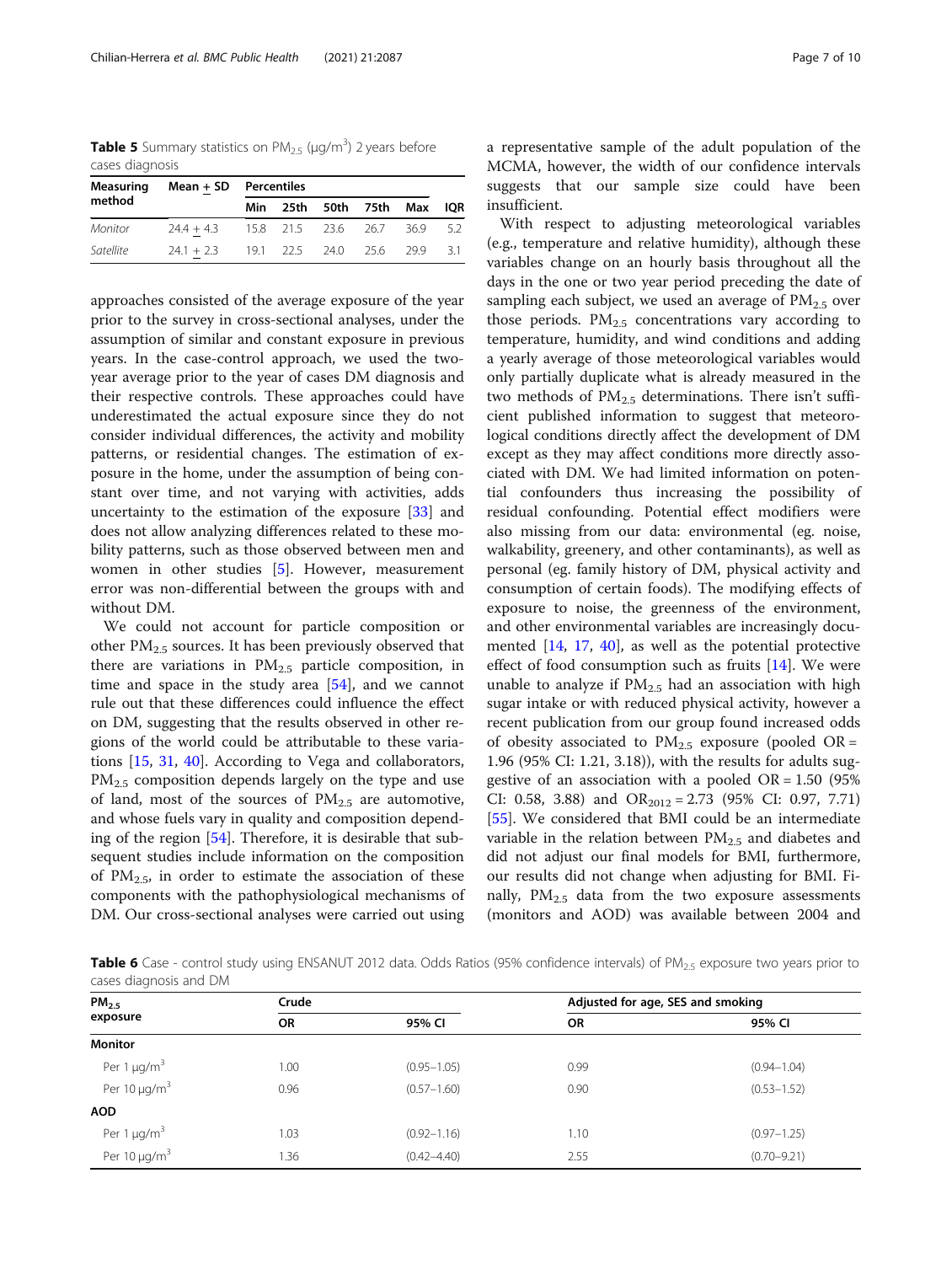<span id="page-6-0"></span>**Table 5** Summary statistics on PM<sub>2.5</sub> ( $\mu$ g/m<sup>3</sup>) 2 years before cases diagnosis

| Measuring<br>method | $Mean + SD$ Percentiles                   |  |  |                            |  |  |  |
|---------------------|-------------------------------------------|--|--|----------------------------|--|--|--|
|                     |                                           |  |  | Min 25th 50th 75th Max IQR |  |  |  |
| Monitor             | $24.4 + 4.3$ 15.8 21.5 23.6 26.7 36.9 5.2 |  |  |                            |  |  |  |
| Satellite           | $24.1 + 2.3$ 19.1 22.5 24.0 25.6 29.9 3.1 |  |  |                            |  |  |  |

approaches consisted of the average exposure of the year prior to the survey in cross-sectional analyses, under the assumption of similar and constant exposure in previous years. In the case-control approach, we used the twoyear average prior to the year of cases DM diagnosis and their respective controls. These approaches could have underestimated the actual exposure since they do not consider individual differences, the activity and mobility patterns, or residential changes. The estimation of exposure in the home, under the assumption of being constant over time, and not varying with activities, adds uncertainty to the estimation of the exposure [\[33\]](#page-8-0) and does not allow analyzing differences related to these mobility patterns, such as those observed between men and women in other studies [\[5](#page-7-0)]. However, measurement error was non-differential between the groups with and without DM.

We could not account for particle composition or other  $PM_{2.5}$  sources. It has been previously observed that there are variations in  $PM_{2.5}$  particle composition, in time and space in the study area [\[54](#page-9-0)], and we cannot rule out that these differences could influence the effect on DM, suggesting that the results observed in other regions of the world could be attributable to these variations [[15,](#page-8-0) [31](#page-8-0), [40](#page-8-0)]. According to Vega and collaborators, PM<sub>2.5</sub> composition depends largely on the type and use of land, most of the sources of  $PM_{2.5}$  are automotive, and whose fuels vary in quality and composition depending of the region [[54\]](#page-9-0). Therefore, it is desirable that subsequent studies include information on the composition of  $PM_{2.5}$ , in order to estimate the association of these components with the pathophysiological mechanisms of DM. Our cross-sectional analyses were carried out using a representative sample of the adult population of the MCMA, however, the width of our confidence intervals suggests that our sample size could have been insufficient.

With respect to adjusting meteorological variables (e.g., temperature and relative humidity), although these variables change on an hourly basis throughout all the days in the one or two year period preceding the date of sampling each subject, we used an average of  $PM_{2.5}$  over those periods.  $PM<sub>2.5</sub>$  concentrations vary according to temperature, humidity, and wind conditions and adding a yearly average of those meteorological variables would only partially duplicate what is already measured in the two methods of  $PM_{2.5}$  determinations. There isn't sufficient published information to suggest that meteorological conditions directly affect the development of DM except as they may affect conditions more directly associated with DM. We had limited information on potential confounders thus increasing the possibility of residual confounding. Potential effect modifiers were also missing from our data: environmental (eg. noise, walkability, greenery, and other contaminants), as well as personal (eg. family history of DM, physical activity and consumption of certain foods). The modifying effects of exposure to noise, the greenness of the environment, and other environmental variables are increasingly documented [[14,](#page-7-0) [17](#page-8-0), [40](#page-8-0)], as well as the potential protective effect of food consumption such as fruits  $[14]$  $[14]$ . We were unable to analyze if  $PM<sub>2.5</sub>$  had an association with high sugar intake or with reduced physical activity, however a recent publication from our group found increased odds of obesity associated to  $PM_{2.5}$  exposure (pooled OR = 1.96 (95% CI: 1.21, 3.18)), with the results for adults suggestive of an association with a pooled  $OR = 1.50$  (95%) CI: 0.58, 3.88) and  $OR<sub>2012</sub> = 2.73$  (95% CI: 0.97, 7.71) [[55\]](#page-9-0). We considered that BMI could be an intermediate variable in the relation between  $PM_{2.5}$  and diabetes and did not adjust our final models for BMI, furthermore, our results did not change when adjusting for BMI. Finally,  $PM_{2.5}$  data from the two exposure assessments (monitors and AOD) was available between 2004 and

Table 6 Case - control study using ENSANUT 2012 data. Odds Ratios (95% confidence intervals) of PM<sub>2.5</sub> exposure two years prior to cases diagnosis and DM

| PM <sub>2.5</sub>             | Crude     |                 | Adjusted for age, SES and smoking |                 |  |  |
|-------------------------------|-----------|-----------------|-----------------------------------|-----------------|--|--|
| exposure                      | <b>OR</b> | 95% CI          | <b>OR</b>                         | 95% CI          |  |  |
| <b>Monitor</b>                |           |                 |                                   |                 |  |  |
| Per 1 $\mu$ g/m <sup>3</sup>  | 1.00      | $(0.95 - 1.05)$ | 0.99                              | $(0.94 - 1.04)$ |  |  |
| Per 10 $\mu$ g/m <sup>3</sup> | 0.96      | $(0.57 - 1.60)$ | 0.90                              | $(0.53 - 1.52)$ |  |  |
| <b>AOD</b>                    |           |                 |                                   |                 |  |  |
| Per 1 $\mu$ g/m <sup>3</sup>  | 1.03      | $(0.92 - 1.16)$ | 1.10                              | $(0.97 - 1.25)$ |  |  |
| Per 10 $\mu$ g/m <sup>3</sup> | .36       | $(0.42 - 4.40)$ | 2.55                              | $(0.70 - 9.21)$ |  |  |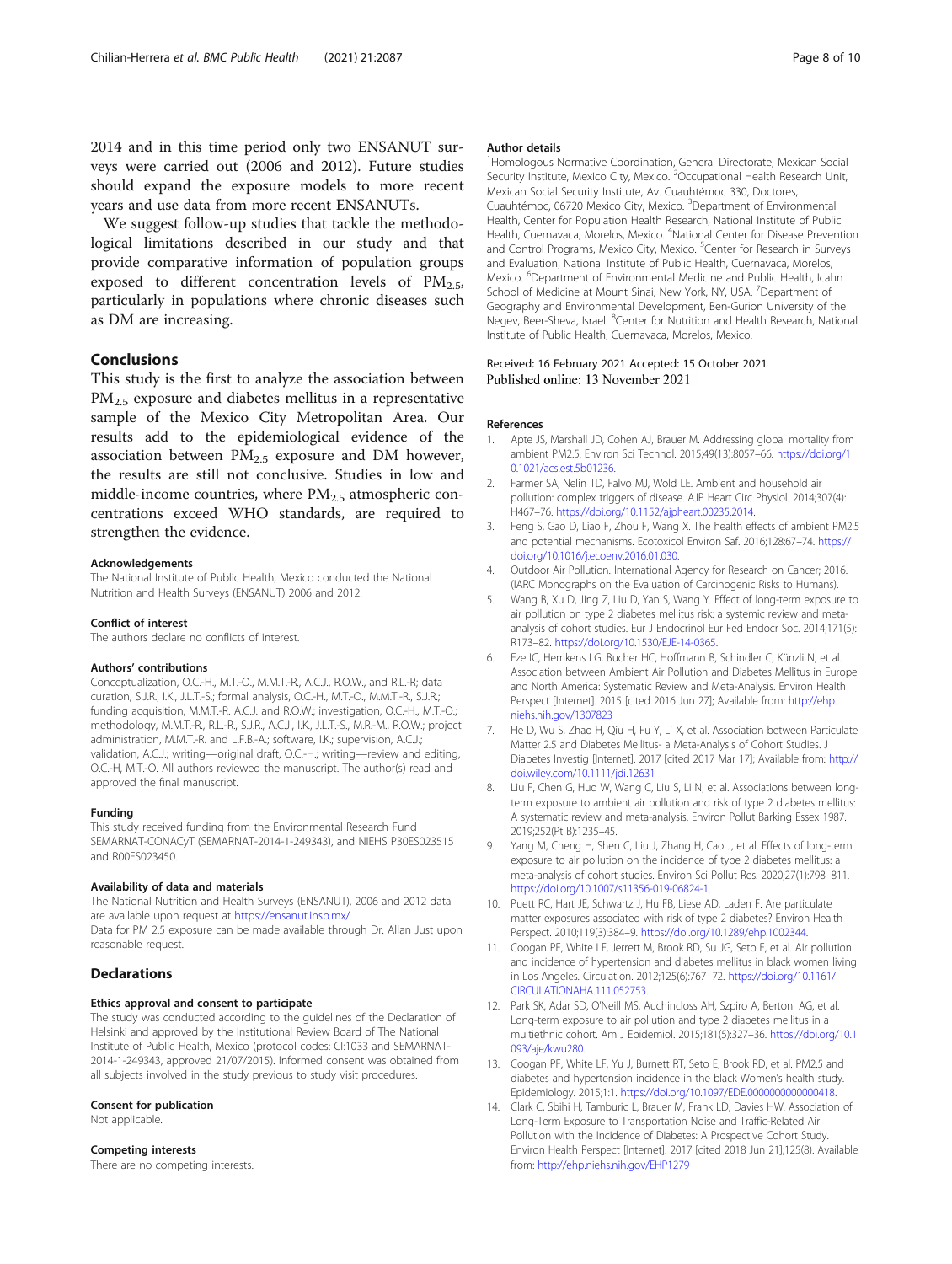<span id="page-7-0"></span>2014 and in this time period only two ENSANUT surveys were carried out (2006 and 2012). Future studies should expand the exposure models to more recent years and use data from more recent ENSANUTs.

We suggest follow-up studies that tackle the methodological limitations described in our study and that provide comparative information of population groups exposed to different concentration levels of  $PM_{2.5}$ , particularly in populations where chronic diseases such as DM are increasing.

# Conclusions

This study is the first to analyze the association between PM2.5 exposure and diabetes mellitus in a representative sample of the Mexico City Metropolitan Area. Our results add to the epidemiological evidence of the association between  $PM<sub>2.5</sub>$  exposure and DM however, the results are still not conclusive. Studies in low and middle-income countries, where  $PM_{2.5}$  atmospheric concentrations exceed WHO standards, are required to strengthen the evidence.

#### Acknowledgements

The National Institute of Public Health, Mexico conducted the National Nutrition and Health Surveys (ENSANUT) 2006 and 2012.

#### Conflict of interest

The authors declare no conflicts of interest.

#### Authors' contributions

Conceptualization, O.C.-H., M.T.-O., M.M.T.-R., A.C.J., R.O.W., and R.L.-R; data curation, S.J.R., I.K., J.L.T.-S.; formal analysis, O.C.-H., M.T.-O., M.M.T.-R., S.J.R.; funding acquisition, M.M.T.-R. A.C.J. and R.O.W.; investigation, O.C.-H., M.T.-O.; methodology, M.M.T.-R., R.L.-R., S.J.R., A.C.J., I.K., J.L.T.-S., M.R.-M., R.O.W.; project administration, M.M.T.-R. and L.F.B.-A.; software, I.K.; supervision, A.C.J.; validation, A.C.J.; writing—original draft, O.C.-H.; writing—review and editing, O.C.-H, M.T.-O. All authors reviewed the manuscript. The author(s) read and approved the final manuscript.

### Funding

This study received funding from the Environmental Research Fund SEMARNAT-CONACyT (SEMARNAT-2014-1-249343), and NIEHS P30ES023515 and R00ES023450.

#### Availability of data and materials

The National Nutrition and Health Surveys (ENSANUT), 2006 and 2012 data are available upon request at <https://ensanut.insp.mx/>

Data for PM 2.5 exposure can be made available through Dr. Allan Just upon reasonable request.

# Declarations

#### Ethics approval and consent to participate

The study was conducted according to the guidelines of the Declaration of Helsinki and approved by the Institutional Review Board of The National Institute of Public Health, Mexico (protocol codes: CI:1033 and SEMARNAT-2014-1-249343, approved 21/07/2015). Informed consent was obtained from all subjects involved in the study previous to study visit procedures.

#### Consent for publication

Not applicable.

#### Competing interests

There are no competing interests.

#### Author details

<sup>1</sup> Homologous Normative Coordination, General Directorate, Mexican Social Security Institute, Mexico City, Mexico. <sup>2</sup>Occupational Health Research Unit Mexican Social Security Institute, Av. Cuauhtémoc 330, Doctores, Cuauhtémoc, 06720 Mexico City, Mexico.<sup>3</sup> Department of Environmental Health, Center for Population Health Research, National Institute of Public Health, Cuernavaca, Morelos, Mexico. <sup>4</sup>National Center for Disease Prevention and Control Programs, Mexico City, Mexico.<sup>5</sup> Center for Research in Surveys and Evaluation, National Institute of Public Health, Cuernavaca, Morelos, Mexico. <sup>6</sup>Department of Environmental Medicine and Public Health, Icahn School of Medicine at Mount Sinai, New York, NY, USA. <sup>7</sup>Department of Geography and Environmental Development, Ben-Gurion University of the Negev, Beer-Sheva, Israel. <sup>8</sup>Center for Nutrition and Health Research, National Institute of Public Health, Cuernavaca, Morelos, Mexico.

### Received: 16 February 2021 Accepted: 15 October 2021 Published online: 13 November 2021

### References

- 1. Apte JS, Marshall JD, Cohen AJ, Brauer M. Addressing global mortality from ambient PM2.5. Environ Sci Technol. 2015;49(13):8057–66. [https://doi.org/1](https://doi.org/10.1021/acs.est.5b01236) [0.1021/acs.est.5b01236](https://doi.org/10.1021/acs.est.5b01236).
- 2. Farmer SA, Nelin TD, Falvo MJ, Wold LE. Ambient and household air pollution: complex triggers of disease. AJP Heart Circ Physiol. 2014;307(4): H467–76. [https://doi.org/10.1152/ajpheart.00235.2014.](https://doi.org/10.1152/ajpheart.00235.2014)
- 3. Feng S, Gao D, Liao F, Zhou F, Wang X. The health effects of ambient PM2.5 and potential mechanisms. Ecotoxicol Environ Saf. 2016;128:67–74. [https://](https://doi.org/10.1016/j.ecoenv.2016.01.030) [doi.org/10.1016/j.ecoenv.2016.01.030.](https://doi.org/10.1016/j.ecoenv.2016.01.030)
- 4. Outdoor Air Pollution. International Agency for Research on Cancer; 2016. (IARC Monographs on the Evaluation of Carcinogenic Risks to Humans).
- 5. Wang B, Xu D, Jing Z, Liu D, Yan S, Wang Y. Effect of long-term exposure to air pollution on type 2 diabetes mellitus risk: a systemic review and metaanalysis of cohort studies. Eur J Endocrinol Eur Fed Endocr Soc. 2014;171(5): R173–82. <https://doi.org/10.1530/EJE-14-0365>.
- 6. Eze IC, Hemkens LG, Bucher HC, Hoffmann B, Schindler C, Künzli N, et al. Association between Ambient Air Pollution and Diabetes Mellitus in Europe and North America: Systematic Review and Meta-Analysis. Environ Health Perspect [Internet]. 2015 [cited 2016 Jun 27]; Available from: [http://ehp.](http://ehp.niehs.nih.gov/1307823) [niehs.nih.gov/1307823](http://ehp.niehs.nih.gov/1307823)
- 7. He D, Wu S, Zhao H, Qiu H, Fu Y, Li X, et al. Association between Particulate Matter 2.5 and Diabetes Mellitus- a Meta-Analysis of Cohort Studies. J Diabetes Investig [Internet]. 2017 [cited 2017 Mar 17]; Available from: [http://](http://dx.doi.org/10.1111/jdi.12631) [doi.wiley.com/10.1111/jdi.12631](http://dx.doi.org/10.1111/jdi.12631)
- 8. Liu F, Chen G, Huo W, Wang C, Liu S, Li N, et al. Associations between longterm exposure to ambient air pollution and risk of type 2 diabetes mellitus: A systematic review and meta-analysis. Environ Pollut Barking Essex 1987. 2019;252(Pt B):1235–45.
- 9. Yang M, Cheng H, Shen C, Liu J, Zhang H, Cao J, et al. Effects of long-term exposure to air pollution on the incidence of type 2 diabetes mellitus: a meta-analysis of cohort studies. Environ Sci Pollut Res. 2020;27(1):798–811. [https://doi.org/10.1007/s11356-019-06824-1.](https://doi.org/10.1007/s11356-019-06824-1)
- 10. Puett RC, Hart JE, Schwartz J, Hu FB, Liese AD, Laden F. Are particulate matter exposures associated with risk of type 2 diabetes? Environ Health Perspect. 2010;119(3):384–9. [https://doi.org/10.1289/ehp.1002344.](https://doi.org/10.1289/ehp.1002344)
- 11. Coogan PF, White LF, Jerrett M, Brook RD, Su JG, Seto E, et al. Air pollution and incidence of hypertension and diabetes mellitus in black women living in Los Angeles. Circulation. 2012;125(6):767–72. [https://doi.org/10.1161/](https://doi.org/10.1161/CIRCULATIONAHA.111.052753) [CIRCULATIONAHA.111.052753](https://doi.org/10.1161/CIRCULATIONAHA.111.052753).
- 12. Park SK, Adar SD, O'Neill MS, Auchincloss AH, Szpiro A, Bertoni AG, et al. Long-term exposure to air pollution and type 2 diabetes mellitus in a multiethnic cohort. Am J Epidemiol. 2015;181(5):327–36. [https://doi.org/10.1](https://doi.org/10.1093/aje/kwu280) [093/aje/kwu280.](https://doi.org/10.1093/aje/kwu280)
- 13. Coogan PF, White LF, Yu J, Burnett RT, Seto E, Brook RD, et al. PM2.5 and diabetes and hypertension incidence in the black Women's health study. Epidemiology. 2015;1:1. [https://doi.org/10.1097/EDE.0000000000000418.](https://doi.org/10.1097/EDE.0000000000000418)
- 14. Clark C, Sbihi H, Tamburic L, Brauer M, Frank LD, Davies HW. Association of Long-Term Exposure to Transportation Noise and Traffic-Related Air Pollution with the Incidence of Diabetes: A Prospective Cohort Study. Environ Health Perspect [Internet]. 2017 [cited 2018 Jun 21];125(8). Available from: <http://ehp.niehs.nih.gov/EHP1279>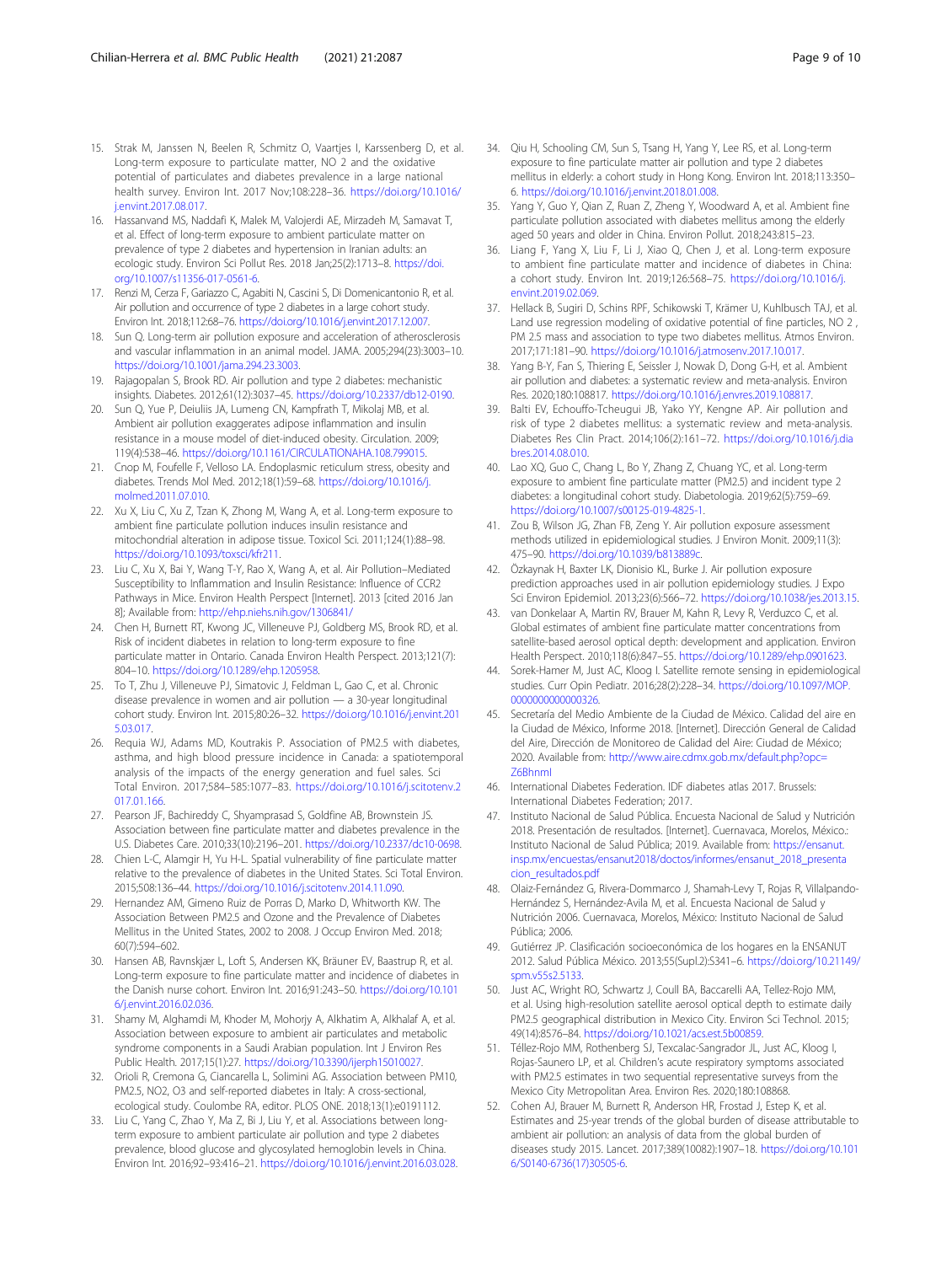- <span id="page-8-0"></span>15. Strak M, Janssen N, Beelen R, Schmitz O, Vaartjes I, Karssenberg D, et al. Long-term exposure to particulate matter, NO 2 and the oxidative potential of particulates and diabetes prevalence in a large national health survey. Environ Int. 2017 Nov;108:228–36. [https://doi.org/10.1016/](https://doi.org/10.1016/j.envint.2017.08.017) [j.envint.2017.08.017](https://doi.org/10.1016/j.envint.2017.08.017).
- 16. Hassanvand MS, Naddafi K, Malek M, Valojerdi AE, Mirzadeh M, Samavat T, et al. Effect of long-term exposure to ambient particulate matter on prevalence of type 2 diabetes and hypertension in Iranian adults: an ecologic study. Environ Sci Pollut Res. 2018 Jan;25(2):1713–8. [https://doi.](https://doi.org/10.1007/s11356-017-0561-6) [org/10.1007/s11356-017-0561-6](https://doi.org/10.1007/s11356-017-0561-6).
- 17. Renzi M, Cerza F, Gariazzo C, Agabiti N, Cascini S, Di Domenicantonio R, et al. Air pollution and occurrence of type 2 diabetes in a large cohort study. Environ Int. 2018;112:68–76. [https://doi.org/10.1016/j.envint.2017.12.007.](https://doi.org/10.1016/j.envint.2017.12.007)
- 18. Sun Q. Long-term air pollution exposure and acceleration of atherosclerosis and vascular inflammation in an animal model. JAMA. 2005;294(23):3003–10. [https://doi.org/10.1001/jama.294.23.3003.](https://doi.org/10.1001/jama.294.23.3003)
- 19. Rajagopalan S, Brook RD. Air pollution and type 2 diabetes: mechanistic insights. Diabetes. 2012;61(12):3037–45. <https://doi.org/10.2337/db12-0190>.
- 20. Sun Q, Yue P, Deiuliis JA, Lumeng CN, Kampfrath T, Mikolaj MB, et al. Ambient air pollution exaggerates adipose inflammation and insulin resistance in a mouse model of diet-induced obesity. Circulation. 2009; 119(4):538–46. <https://doi.org/10.1161/CIRCULATIONAHA.108.799015>.
- 21. Cnop M, Foufelle F, Velloso LA. Endoplasmic reticulum stress, obesity and diabetes. Trends Mol Med. 2012;18(1):59–68. [https://doi.org/10.1016/j.](https://doi.org/10.1016/j.molmed.2011.07.010) [molmed.2011.07.010](https://doi.org/10.1016/j.molmed.2011.07.010).
- 22. Xu X, Liu C, Xu Z, Tzan K, Zhong M, Wang A, et al. Long-term exposure to ambient fine particulate pollution induces insulin resistance and mitochondrial alteration in adipose tissue. Toxicol Sci. 2011;124(1):88–98. [https://doi.org/10.1093/toxsci/kfr211.](https://doi.org/10.1093/toxsci/kfr211)
- 23. Liu C, Xu X, Bai Y, Wang T-Y, Rao X, Wang A, et al. Air Pollution–Mediated Susceptibility to Inflammation and Insulin Resistance: Influence of CCR2 Pathways in Mice. Environ Health Perspect [Internet]. 2013 [cited 2016 Jan 8]; Available from: <http://ehp.niehs.nih.gov/1306841/>
- 24. Chen H, Burnett RT, Kwong JC, Villeneuve PJ, Goldberg MS, Brook RD, et al. Risk of incident diabetes in relation to long-term exposure to fine particulate matter in Ontario. Canada Environ Health Perspect. 2013;121(7): 804–10. [https://doi.org/10.1289/ehp.1205958.](https://doi.org/10.1289/ehp.1205958)
- 25. To T, Zhu J, Villeneuve PJ, Simatovic J, Feldman L, Gao C, et al. Chronic disease prevalence in women and air pollution — a 30-year longitudinal cohort study. Environ Int. 2015;80:26–32. [https://doi.org/10.1016/j.envint.201](https://doi.org/10.1016/j.envint.2015.03.017) [5.03.017.](https://doi.org/10.1016/j.envint.2015.03.017)
- 26. Requia WJ, Adams MD, Koutrakis P. Association of PM2.5 with diabetes, asthma, and high blood pressure incidence in Canada: a spatiotemporal analysis of the impacts of the energy generation and fuel sales. Sci Total Environ. 2017;584–585:1077–83. [https://doi.org/10.1016/j.scitotenv.2](https://doi.org/10.1016/j.scitotenv.2017.01.166) [017.01.166](https://doi.org/10.1016/j.scitotenv.2017.01.166).
- 27. Pearson JF, Bachireddy C, Shyamprasad S, Goldfine AB, Brownstein JS. Association between fine particulate matter and diabetes prevalence in the U.S. Diabetes Care. 2010;33(10):2196–201. [https://doi.org/10.2337/dc10-0698.](https://doi.org/10.2337/dc10-0698)
- 28. Chien L-C, Alamgir H, Yu H-L. Spatial vulnerability of fine particulate matter relative to the prevalence of diabetes in the United States. Sci Total Environ. 2015;508:136–44. [https://doi.org/10.1016/j.scitotenv.2014.11.090.](https://doi.org/10.1016/j.scitotenv.2014.11.090)
- 29. Hernandez AM, Gimeno Ruiz de Porras D, Marko D, Whitworth KW. The Association Between PM2.5 and Ozone and the Prevalence of Diabetes Mellitus in the United States, 2002 to 2008. J Occup Environ Med. 2018; 60(7):594–602.
- 30. Hansen AB, Ravnskjær L, Loft S, Andersen KK, Bräuner EV, Baastrup R, et al. Long-term exposure to fine particulate matter and incidence of diabetes in the Danish nurse cohort. Environ Int. 2016;91:243–50. [https://doi.org/10.101](https://doi.org/10.1016/j.envint.2016.02.036) [6/j.envint.2016.02.036](https://doi.org/10.1016/j.envint.2016.02.036).
- 31. Shamy M, Alghamdi M, Khoder M, Mohorjy A, Alkhatim A, Alkhalaf A, et al. Association between exposure to ambient air particulates and metabolic syndrome components in a Saudi Arabian population. Int J Environ Res Public Health. 2017;15(1):27. [https://doi.org/10.3390/ijerph15010027.](https://doi.org/10.3390/ijerph15010027)
- 32. Orioli R, Cremona G, Ciancarella L, Solimini AG. Association between PM10, PM2.5, NO2, O3 and self-reported diabetes in Italy: A cross-sectional, ecological study. Coulombe RA, editor. PLOS ONE. 2018;13(1):e0191112.
- 33. Liu C, Yang C, Zhao Y, Ma Z, Bi J, Liu Y, et al. Associations between longterm exposure to ambient particulate air pollution and type 2 diabetes prevalence, blood glucose and glycosylated hemoglobin levels in China. Environ Int. 2016;92–93:416–21. <https://doi.org/10.1016/j.envint.2016.03.028>.
- 34. Qiu H, Schooling CM, Sun S, Tsang H, Yang Y, Lee RS, et al. Long-term exposure to fine particulate matter air pollution and type 2 diabetes mellitus in elderly: a cohort study in Hong Kong. Environ Int. 2018;113:350– 6. <https://doi.org/10.1016/j.envint.2018.01.008>.
- 35. Yang Y, Guo Y, Qian Z, Ruan Z, Zheng Y, Woodward A, et al. Ambient fine particulate pollution associated with diabetes mellitus among the elderly aged 50 years and older in China. Environ Pollut. 2018;243:815–23.
- 36. Liang F, Yang X, Liu F, Li J, Xiao Q, Chen J, et al. Long-term exposure to ambient fine particulate matter and incidence of diabetes in China: a cohort study. Environ Int. 2019;126:568–75. [https://doi.org/10.1016/j.](https://doi.org/10.1016/j.envint.2019.02.069) [envint.2019.02.069](https://doi.org/10.1016/j.envint.2019.02.069).
- 37. Hellack B, Sugiri D, Schins RPF, Schikowski T, Krämer U, Kuhlbusch TAJ, et al. Land use regression modeling of oxidative potential of fine particles, NO 2 , PM 2.5 mass and association to type two diabetes mellitus. Atmos Environ. 2017;171:181–90. <https://doi.org/10.1016/j.atmosenv.2017.10.017>.
- 38. Yang B-Y, Fan S, Thiering E, Seissler J, Nowak D, Dong G-H, et al. Ambient air pollution and diabetes: a systematic review and meta-analysis. Environ Res. 2020;180:108817. [https://doi.org/10.1016/j.envres.2019.108817.](https://doi.org/10.1016/j.envres.2019.108817)
- 39. Balti EV, Echouffo-Tcheugui JB, Yako YY, Kengne AP. Air pollution and risk of type 2 diabetes mellitus: a systematic review and meta-analysis. Diabetes Res Clin Pract. 2014;106(2):161–72. [https://doi.org/10.1016/j.dia](https://doi.org/10.1016/j.diabres.2014.08.010) [bres.2014.08.010](https://doi.org/10.1016/j.diabres.2014.08.010).
- 40. Lao XQ, Guo C, Chang L, Bo Y, Zhang Z, Chuang YC, et al. Long-term exposure to ambient fine particulate matter (PM2.5) and incident type 2 diabetes: a longitudinal cohort study. Diabetologia. 2019;62(5):759–69. <https://doi.org/10.1007/s00125-019-4825-1>.
- 41. Zou B, Wilson JG, Zhan FB, Zeng Y. Air pollution exposure assessment methods utilized in epidemiological studies. J Environ Monit. 2009;11(3): 475–90. <https://doi.org/10.1039/b813889c>.
- 42. Özkaynak H, Baxter LK, Dionisio KL, Burke J. Air pollution exposure prediction approaches used in air pollution epidemiology studies. J Expo Sci Environ Epidemiol. 2013;23(6):566–72. <https://doi.org/10.1038/jes.2013.15>.
- 43. van Donkelaar A, Martin RV, Brauer M, Kahn R, Levy R, Verduzco C, et al. Global estimates of ambient fine particulate matter concentrations from satellite-based aerosol optical depth: development and application. Environ Health Perspect. 2010;118(6):847–55. [https://doi.org/10.1289/ehp.0901623.](https://doi.org/10.1289/ehp.0901623)
- 44. Sorek-Hamer M, Just AC, Kloog I. Satellite remote sensing in epidemiological studies. Curr Opin Pediatr. 2016;28(2):228–34. [https://doi.org/10.1097/MOP.](https://doi.org/10.1097/MOP.0000000000000326) [0000000000000326](https://doi.org/10.1097/MOP.0000000000000326).
- 45. Secretaría del Medio Ambiente de la Ciudad de México. Calidad del aire en la Ciudad de México, Informe 2018. [Internet]. Dirección General de Calidad del Aire, Dirección de Monitoreo de Calidad del Aire: Ciudad de México; 2020. Available from: [http://www.aire.cdmx.gob.mx/default.php?opc=](http://www.aire.cdmx.gob.mx/default.php?opc=Z6BhnmI) [Z6BhnmI](http://www.aire.cdmx.gob.mx/default.php?opc=Z6BhnmI)
- 46. International Diabetes Federation. IDF diabetes atlas 2017. Brussels: International Diabetes Federation; 2017.
- 47. Instituto Nacional de Salud Pública. Encuesta Nacional de Salud y Nutrición 2018. Presentación de resultados. [Internet]. Cuernavaca, Morelos, México.: Instituto Nacional de Salud Pública; 2019. Available from: [https://ensanut.](https://ensanut.insp.mx/encuestas/ensanut2018/doctos/informes/ensanut_2018_presentacion_resultados.pdf) [insp.mx/encuestas/ensanut2018/doctos/informes/ensanut\\_2018\\_presenta](https://ensanut.insp.mx/encuestas/ensanut2018/doctos/informes/ensanut_2018_presentacion_resultados.pdf) [cion\\_resultados.pdf](https://ensanut.insp.mx/encuestas/ensanut2018/doctos/informes/ensanut_2018_presentacion_resultados.pdf)
- 48. Olaiz-Fernández G, Rivera-Dommarco J, Shamah-Levy T, Rojas R, Villalpando-Hernández S, Hernández-Avila M, et al. Encuesta Nacional de Salud y Nutrición 2006. Cuernavaca, Morelos, México: Instituto Nacional de Salud Pública; 2006.
- 49. Gutiérrez JP. Clasificación socioeconómica de los hogares en la ENSANUT 2012. Salud Pública México. 2013;55(Supl.2):S341–6. [https://doi.org/10.21149/](https://doi.org/10.21149/spm.v55s2.5133) [spm.v55s2.5133](https://doi.org/10.21149/spm.v55s2.5133).
- 50. Just AC, Wright RO, Schwartz J, Coull BA, Baccarelli AA, Tellez-Rojo MM, et al. Using high-resolution satellite aerosol optical depth to estimate daily PM2.5 geographical distribution in Mexico City. Environ Sci Technol. 2015; 49(14):8576–84. [https://doi.org/10.1021/acs.est.5b00859.](https://doi.org/10.1021/acs.est.5b00859)
- 51. Téllez-Rojo MM, Rothenberg SJ, Texcalac-Sangrador JL, Just AC, Kloog I, Rojas-Saunero LP, et al. Children's acute respiratory symptoms associated with PM2.5 estimates in two sequential representative surveys from the Mexico City Metropolitan Area. Environ Res. 2020;180:108868.
- 52. Cohen AJ, Brauer M, Burnett R, Anderson HR, Frostad J, Estep K, et al. Estimates and 25-year trends of the global burden of disease attributable to ambient air pollution: an analysis of data from the global burden of diseases study 2015. Lancet. 2017;389(10082):1907–18. [https://doi.org/10.101](https://doi.org/10.1016/S0140-6736(17)30505-6) [6/S0140-6736\(17\)30505-6](https://doi.org/10.1016/S0140-6736(17)30505-6).